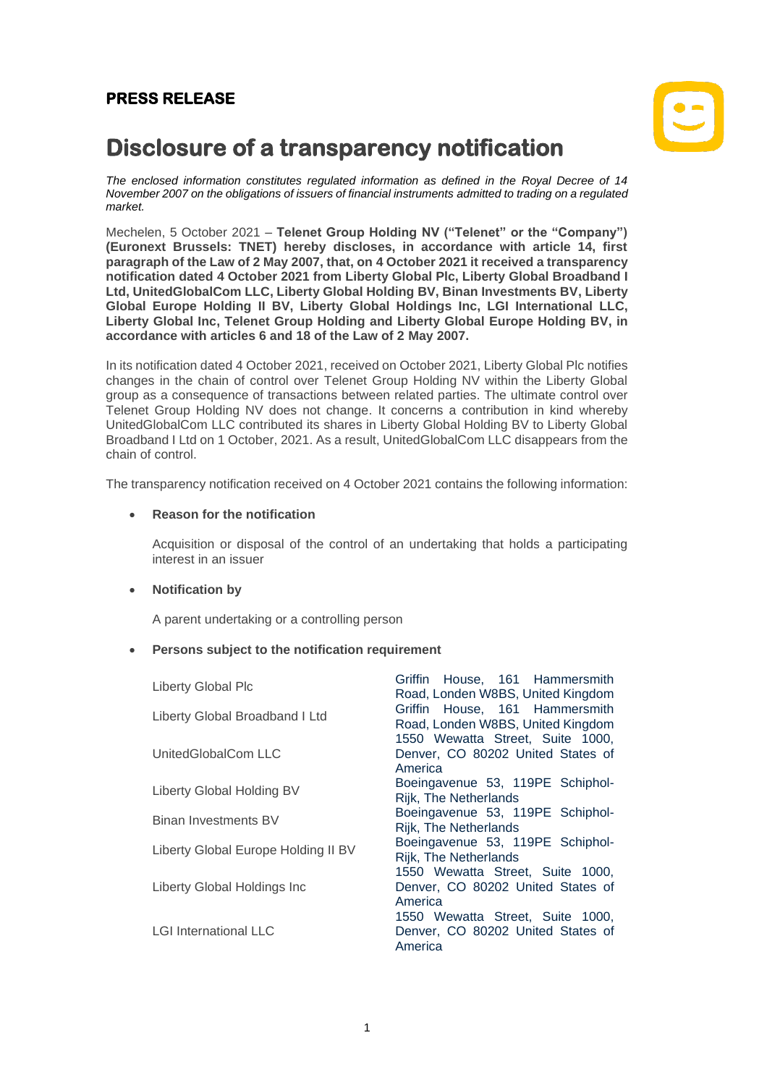## **PRESS RELEASE**



# **Disclosure of a transparency notification**

*The enclosed information constitutes regulated information as defined in the Royal Decree of 14 November 2007 on the obligations of issuers of financial instruments admitted to trading on a regulated market.*

Mechelen, 5 October 2021 – **Telenet Group Holding NV ("Telenet" or the "Company") (Euronext Brussels: TNET) hereby discloses, in accordance with article 14, first paragraph of the Law of 2 May 2007, that, on 4 October 2021 it received a transparency notification dated 4 October 2021 from Liberty Global Plc, Liberty Global Broadband I Ltd, UnitedGlobalCom LLC, Liberty Global Holding BV, Binan Investments BV, Liberty Global Europe Holding II BV, Liberty Global Holdings Inc, LGI International LLC, Liberty Global Inc, Telenet Group Holding and Liberty Global Europe Holding BV, in accordance with articles 6 and 18 of the Law of 2 May 2007.**

In its notification dated 4 October 2021, received on October 2021, Liberty Global Plc notifies changes in the chain of control over Telenet Group Holding NV within the Liberty Global group as a consequence of transactions between related parties. The ultimate control over Telenet Group Holding NV does not change. It concerns a contribution in kind whereby UnitedGlobalCom LLC contributed its shares in Liberty Global Holding BV to Liberty Global Broadband I Ltd on 1 October, 2021. As a result, UnitedGlobalCom LLC disappears from the chain of control.

The transparency notification received on 4 October 2021 contains the following information:

#### • **Reason for the notification**

Acquisition or disposal of the control of an undertaking that holds a participating interest in an issuer

#### • **Notification by**

A parent undertaking or a controlling person

#### • **Persons subject to the notification requirement**

| Liberty Global Plc                  | Griffin House, 161 Hammersmith<br>Road, Londen W8BS, United Kingdom              |
|-------------------------------------|----------------------------------------------------------------------------------|
| Liberty Global Broadband I Ltd      | Griffin House, 161 Hammersmith<br>Road, Londen W8BS, United Kingdom              |
| UnitedGlobalCom LLC                 | 1550 Wewatta Street, Suite 1000,<br>Denver, CO 80202 United States of<br>America |
| Liberty Global Holding BV           | Boeingavenue 53, 119PE Schiphol-<br>Rijk, The Netherlands                        |
| <b>Binan Investments BV</b>         | Boeingavenue 53, 119PE Schiphol-<br>Rijk, The Netherlands                        |
| Liberty Global Europe Holding II BV | Boeingavenue 53, 119PE Schiphol-<br>Rijk, The Netherlands                        |
| Liberty Global Holdings Inc         | 1550 Wewatta Street, Suite 1000,<br>Denver, CO 80202 United States of<br>America |
| <b>LGI International LLC</b>        | 1550 Wewatta Street, Suite 1000,<br>Denver, CO 80202 United States of<br>America |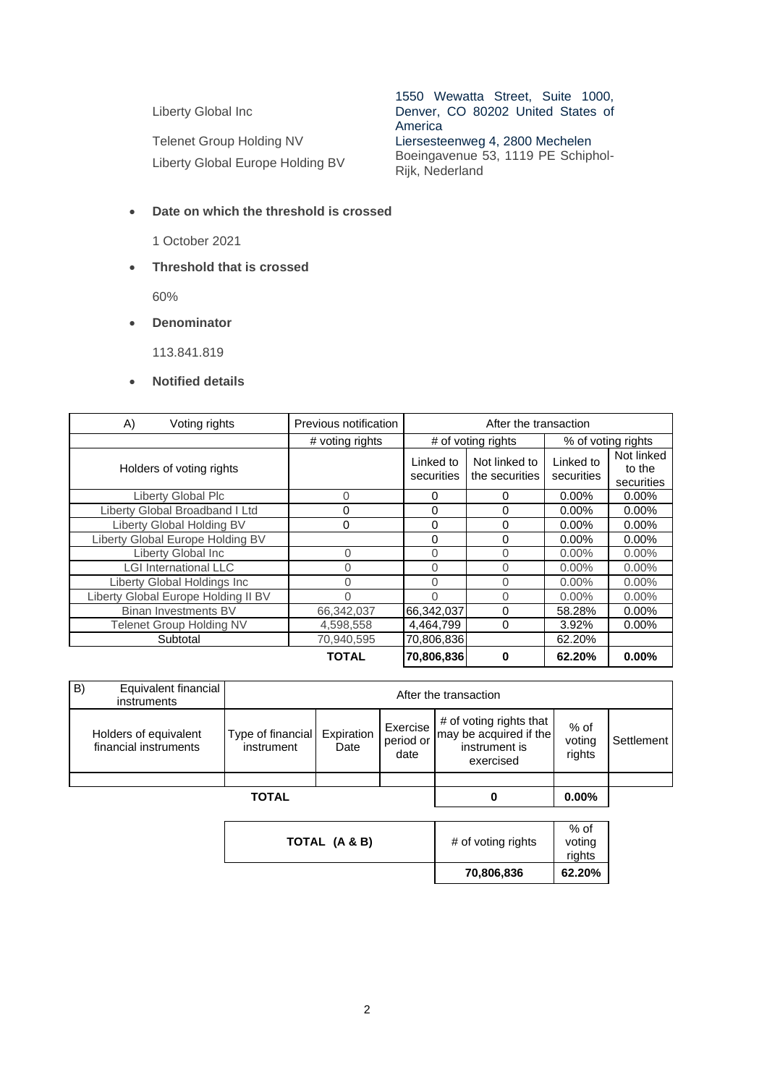Liberty Global Inc

Telenet Group Holding NV<br>
Liersesteenweg 4, 2800 Mechelen<br>
Liberty Global Europe Holding RV<br>
Boeingavenue 53, 1119 PE Schiphol-Liberty Global Europe Holding BV

1550 Wewatta Street, Suite 1000, Denver, CO 80202 United States of America

Rijk, Nederland

### • **Date on which the threshold is crossed**

1 October 2021

• **Threshold that is crossed**

60%

• **Denominator**

113.841.819

#### • **Notified details**

| A)<br>Voting rights                 | Previous notification | After the transaction   |                                 |                         |                                    |
|-------------------------------------|-----------------------|-------------------------|---------------------------------|-------------------------|------------------------------------|
|                                     | # voting rights       | # of voting rights      |                                 | % of voting rights      |                                    |
| Holders of voting rights            |                       | Linked to<br>securities | Not linked to<br>the securities | Linked to<br>securities | Not linked<br>to the<br>securities |
| Liberty Global Plc                  | $\Omega$              | 0                       | $\Omega$                        | $0.00\%$                | $0.00\%$                           |
| Liberty Global Broadband I Ltd      | 0                     | 0                       | $\Omega$                        | $0.00\%$                | $0.00\%$                           |
| Liberty Global Holding BV           | 0                     | 0                       | 0                               | 0.00%                   | $0.00\%$                           |
| Liberty Global Europe Holding BV    |                       | 0                       | 0                               | $0.00\%$                | $0.00\%$                           |
| Liberty Global Inc                  | 0                     | 0                       | 0                               | $0.00\%$                | $0.00\%$                           |
| <b>LGI International LLC</b>        | 0                     | 0                       | $\Omega$                        | $0.00\%$                | $0.00\%$                           |
| Liberty Global Holdings Inc         | 0                     | 0                       | 0                               | $0.00\%$                | $0.00\%$                           |
| Liberty Global Europe Holding II BV | 0                     | 0                       | 0                               | $0.00\%$                | $0.00\%$                           |
| Binan Investments BV                | 66,342,037            | 66,342,037              | $\Omega$                        | 58.28%                  | $0.00\%$                           |
| <b>Telenet Group Holding NV</b>     | 4,598,558             | 4,464,799               | $\Omega$                        | 3.92%                   | $0.00\%$                           |
| Subtotal                            | 70,940,595            | 70,806,836              |                                 | 62.20%                  |                                    |
|                                     | <b>TOTAL</b>          | 70,806,836              | 0                               | 62.20%                  | 0.00%                              |

|    |                                                | <b>TOTAL</b>                    |                    |                               |                                                                                 | $0.00\%$                   |            |
|----|------------------------------------------------|---------------------------------|--------------------|-------------------------------|---------------------------------------------------------------------------------|----------------------------|------------|
|    |                                                |                                 |                    |                               |                                                                                 |                            |            |
|    | Holders of equivalent<br>financial instruments | Type of financial<br>instrument | Expiration<br>Date | Exercise<br>period or<br>date | # of voting rights that<br>may be acquired if the<br>instrument is<br>exercised | $%$ of<br>voting<br>rights | Settlement |
| B) | Equivalent financial<br>instruments            | After the transaction           |                    |                               |                                                                                 |                            |            |

|               | 70,806,836         | rights<br>62.20% |
|---------------|--------------------|------------------|
| TOTAL (A & B) | # of voting rights | $%$ of<br>voting |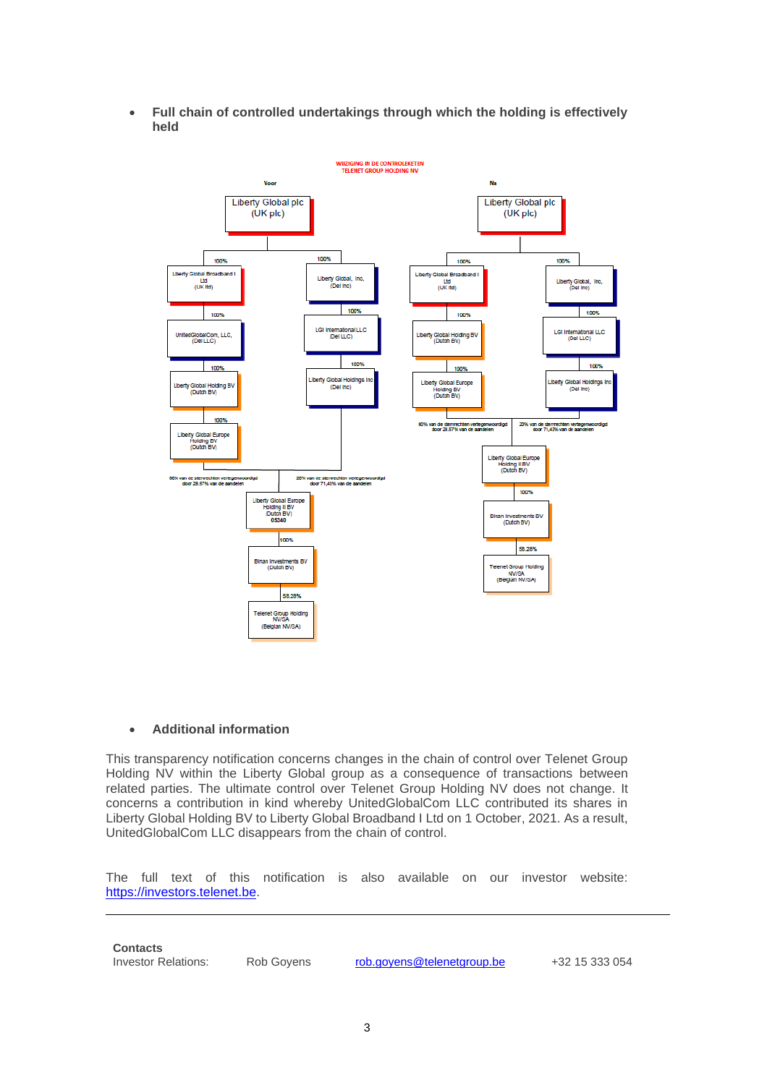• **Full chain of controlled undertakings through which the holding is effectively held**



#### • **Additional information**

This transparency notification concerns changes in the chain of control over Telenet Group Holding NV within the Liberty Global group as a consequence of transactions between related parties. The ultimate control over Telenet Group Holding NV does not change. It concerns a contribution in kind whereby UnitedGlobalCom LLC contributed its shares in Liberty Global Holding BV to Liberty Global Broadband I Ltd on 1 October, 2021. As a result, UnitedGlobalCom LLC disappears from the chain of control.

The full text of this notification is also available on our investor website: [https://investors.telenet.be.](https://investors.telenet.be/)

**Contacts**

Investor Relations: Rob Goyens [rob.goyens@telenetgroup.be](mailto:rob.goyens@telenetgroup.be) +32 15 333 054